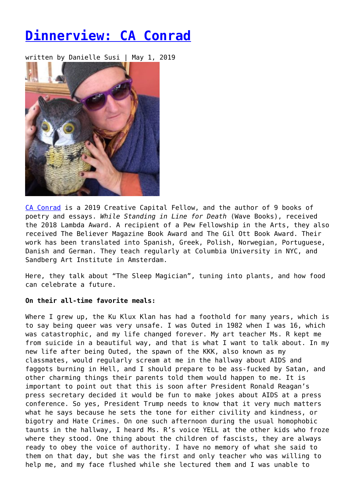# **[Dinnerview: CA Conrad](https://entropymag.org/dinnerview-caconrad/)**

written by Danielle Susi | May 1, 2019



[CA Conrad](http://bit.ly/88CAConrad) is a 2019 Creative Capital Fellow, and the author of 9 books of poetry and essays. *While Standing in Line for Death* (Wave Books), received the 2018 Lambda Award. A recipient of a Pew Fellowship in the Arts, they also received The Believer Magazine Book Award and The Gil Ott Book Award. Their work has been translated into Spanish, Greek, Polish, Norwegian, Portuguese, Danish and German. They teach regularly at Columbia University in NYC, and Sandberg Art Institute in Amsterdam.

Here, they talk about "The Sleep Magician", tuning into plants, and how food can celebrate a future.

# **On their all-time favorite meals:**

Where I grew up, the Ku Klux Klan has had a foothold for many years, which is to say being queer was very unsafe. I was Outed in 1982 when I was 16, which was catastrophic, and my life changed forever. My art teacher Ms. R kept me from suicide in a beautiful way, and that is what I want to talk about. In my new life after being Outed, the spawn of the KKK, also known as my classmates, would regularly scream at me in the hallway about AIDS and faggots burning in Hell, and I should prepare to be ass-fucked by Satan, and other charming things their parents told them would happen to me. It is important to point out that this is soon after President Ronald Reagan's press secretary decided it would be fun to make jokes about AIDS at a press conference. So yes, President Trump needs to know that it very much matters what he says because he sets the tone for either civility and kindness, or bigotry and Hate Crimes. On one such afternoon during the usual homophobic taunts in the hallway, I heard Ms. R's voice YELL at the other kids who froze where they stood. One thing about the children of fascists, they are always ready to obey the voice of authority. I have no memory of what she said to them on that day, but she was the first and only teacher who was willing to help me, and my face flushed while she lectured them and I was unable to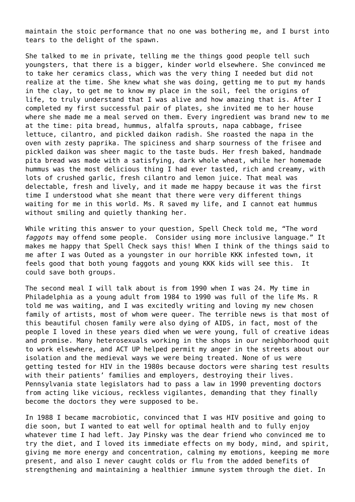maintain the stoic performance that no one was bothering me, and I burst into tears to the delight of the spawn.

She talked to me in private, telling me the things good people tell such youngsters, that there is a bigger, kinder world elsewhere. She convinced me to take her ceramics class, which was the very thing I needed but did not realize at the time. She knew what she was doing, getting me to put my hands in the clay, to get me to know my place in the soil, feel the origins of life, to truly understand that I was alive and how amazing that is. After I completed my first successful pair of plates, she invited me to her house where she made me a meal served on them. Every ingredient was brand new to me at the time: pita bread, hummus, alfalfa sprouts, napa cabbage, frisee lettuce, cilantro, and pickled daikon radish. She roasted the napa in the oven with zesty paprika. The spiciness and sharp sourness of the frisee and pickled daikon was sheer magic to the taste buds. Her fresh baked, handmade pita bread was made with a satisfying, dark whole wheat, while her homemade hummus was the most delicious thing I had ever tasted, rich and creamy, with lots of crushed garlic, fresh cilantro and lemon juice. That meal was delectable, fresh and lively, and it made me happy because it was the first time I understood what she meant that there were very different things waiting for me in this world. Ms. R saved my life, and I cannot eat hummus without smiling and quietly thanking her.

While writing this answer to your question, Spell Check told me, "The word *faggots* may offend some people. Consider using more inclusive language." It makes me happy that Spell Check says this! When I think of the things said to me after I was Outed as a youngster in our horrible KKK infested town, it feels good that both young faggots and young KKK kids will see this. It could save both groups.

The second meal I will talk about is from 1990 when I was 24. My time in Philadelphia as a young adult from 1984 to 1990 was full of the life Ms. R told me was waiting, and I was excitedly writing and loving my new chosen family of artists, most of whom were queer. The terrible news is that most of this beautiful chosen family were also dying of AIDS, in fact, most of the people I loved in these years died when we were young, full of creative ideas and promise. Many heterosexuals working in the shops in our neighborhood quit to work elsewhere, and ACT UP helped permit my anger in the streets about our isolation and the medieval ways we were being treated. None of us were getting tested for HIV in the 1980s because doctors were sharing test results with their patients' families and employers, destroying their lives. Pennsylvania state legislators had to pass a law in 1990 preventing doctors from acting like vicious, reckless vigilantes, demanding that they finally become the doctors they were supposed to be.

In 1988 I became macrobiotic, convinced that I was HIV positive and going to die soon, but I wanted to eat well for optimal health and to fully enjoy whatever time I had left. Jay Pinsky was the dear friend who convinced me to try the diet, and I loved its immediate effects on my body, mind, and spirit, giving me more energy and concentration, calming my emotions, keeping me more present, and also I never caught colds or flu from the added benefits of strengthening and maintaining a healthier immune system through the diet. In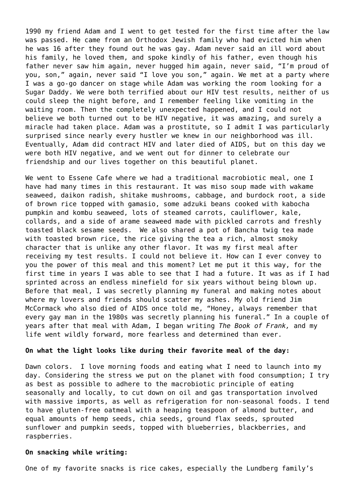1990 my friend Adam and I went to get tested for the first time after the law was passed. He came from an Orthodox Jewish family who had evicted him when he was 16 after they found out he was gay. Adam never said an ill word about his family, he loved them, and spoke kindly of his father, even though his father never saw him again, never hugged him again, never said, "I'm proud of you, son," again, never said "I love you son," again. We met at a party where I was a go-go dancer on stage while Adam was working the room looking for a Sugar Daddy. We were both terrified about our HIV test results, neither of us could sleep the night before, and I remember feeling like vomiting in the waiting room. Then the completely unexpected happened, and I could not believe we both turned out to be HIV negative, it was amazing, and surely a miracle had taken place. Adam was a prostitute, so I admit I was particularly surprised since nearly every hustler we knew in our neighborhood was ill. Eventually, Adam did contract HIV and later died of AIDS, but on this day we were both HIV negative, and we went out for dinner to celebrate our friendship and our lives together on this beautiful planet.

We went to Essene Cafe where we had a traditional macrobiotic meal, one I have had many times in this restaurant. It was miso soup made with wakame seaweed, daikon radish, shitake mushrooms, cabbage, and burdock root, a side of brown rice topped with gamasio, some adzuki beans cooked with kabocha pumpkin and kombu seaweed, lots of steamed carrots, cauliflower, kale, collards, and a side of arame seaweed made with pickled carrots and freshly toasted black sesame seeds. We also shared a pot of Bancha twig tea made with toasted brown rice, the rice giving the tea a rich, almost smoky character that is unlike any other flavor. It was my first meal after receiving my test results. I could not believe it. How can I ever convey to you the power of this meal and this moment? Let me put it this way, for the first time in years I was able to see that I had a future. It was as if I had sprinted across an endless minefield for six years without being blown up. Before that meal, I was secretly planning my funeral and making notes about where my lovers and friends should scatter my ashes. My old friend Jim McCormack who also died of AIDS once told me, "Honey, always remember that every gay man in the 1980s was secretly planning his funeral." In a couple of years after that meal with Adam, I began writing *The Book of Frank,* and my life went wildly forward, more fearless and determined than ever.

#### **On what the light looks like during their favorite meal of the day:**

Dawn colors. I love morning foods and eating what I need to launch into my day. Considering the stress we put on the planet with food consumption; I try as best as possible to adhere to the macrobiotic principle of eating seasonally and locally, to cut down on oil and gas transportation involved with massive imports, as well as refrigeration for non-seasonal foods. I tend to have gluten-free oatmeal with a heaping teaspoon of almond butter, and equal amounts of hemp seeds, chia seeds, ground flax seeds, sprouted sunflower and pumpkin seeds, topped with blueberries, blackberries, and raspberries.

#### **On snacking while writing:**

One of my favorite snacks is rice cakes, especially the Lundberg family's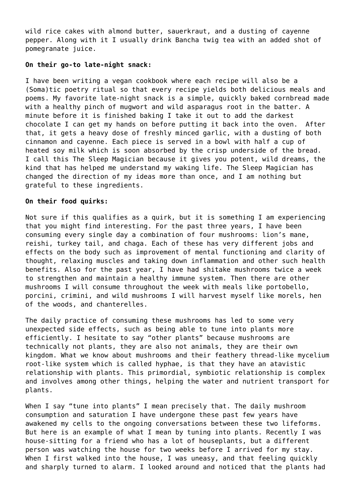wild rice cakes with almond butter, sauerkraut, and a dusting of cayenne pepper. Along with it I usually drink Bancha twig tea with an added shot of pomegranate juice.

## **On their go-to late-night snack:**

I have been writing a vegan cookbook where each recipe will also be a (Soma)tic poetry ritual so that every recipe yields both delicious meals and poems. My favorite late-night snack is a simple, quickly baked cornbread made with a healthy pinch of mugwort and wild asparagus root in the batter. A minute before it is finished baking I take it out to add the darkest chocolate I can get my hands on before putting it back into the oven. After that, it gets a heavy dose of freshly minced garlic, with a dusting of both cinnamon and cayenne. Each piece is served in a bowl with half a cup of heated soy milk which is soon absorbed by the crisp underside of the bread. I call this The Sleep Magician because it gives you potent, wild dreams, the kind that has helped me understand my waking life. The Sleep Magician has changed the direction of my ideas more than once, and I am nothing but grateful to these ingredients.

# **On their food quirks:**

Not sure if this qualifies as a quirk, but it is something I am experiencing that you might find interesting. For the past three years, I have been consuming every single day a combination of four mushrooms: lion's mane, reishi, turkey tail, and chaga. Each of these has very different jobs and effects on the body such as improvement of mental functioning and clarity of thought, relaxing muscles and taking down inflammation and other such health benefits. Also for the past year, I have had shitake mushrooms twice a week to strengthen and maintain a healthy immune system. Then there are other mushrooms I will consume throughout the week with meals like portobello, porcini, crimini, and wild mushrooms I will harvest myself like morels, hen of the woods, and chanterelles.

The daily practice of consuming these mushrooms has led to some very unexpected side effects, such as being able to tune into plants more efficiently. I hesitate to say "other plants" because mushrooms are technically not plants, they are also not animals, they are their own kingdom. What we know about mushrooms and their feathery thread-like mycelium root-like system which is called hyphae, is that they have an atavistic relationship with plants. This primordial, symbiotic relationship is complex and involves among other things, helping the water and nutrient transport for plants.

When I say "tune into plants" I mean precisely that. The daily mushroom consumption and saturation I have undergone these past few years have awakened my cells to the ongoing conversations between these two lifeforms. But here is an example of what I mean by tuning into plants. Recently I was house-sitting for a friend who has a lot of houseplants, but a different person was watching the house for two weeks before I arrived for my stay. When I first walked into the house, I was uneasy, and that feeling quickly and sharply turned to alarm. I looked around and noticed that the plants had